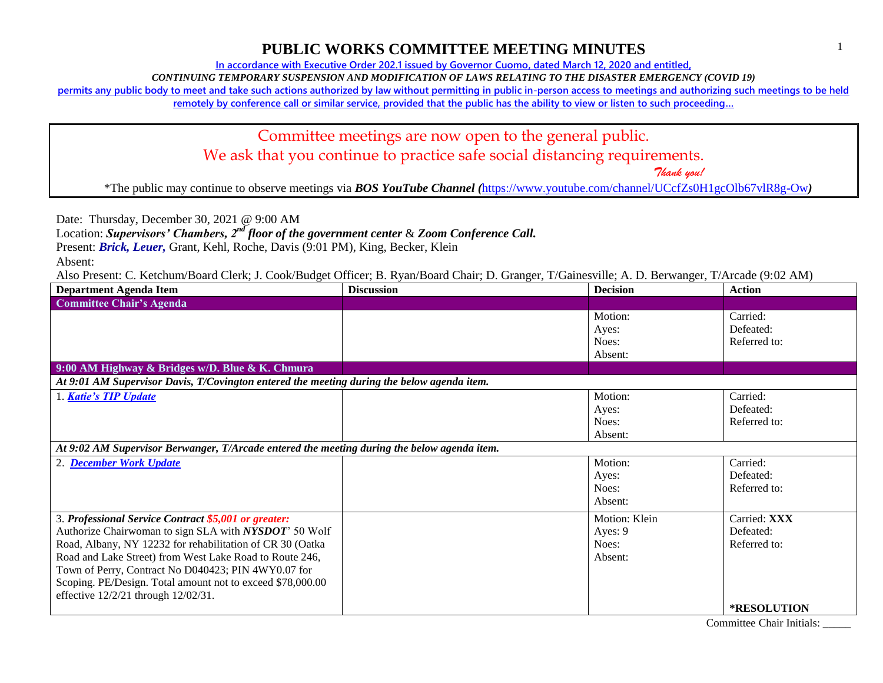**In accordance with Executive Order 202.1 issued by Governor Cuomo, dated March 12, 2020 and entitled,**

*CONTINUING TEMPORARY SUSPENSION AND MODIFICATION OF LAWS RELATING TO THE DISASTER EMERGENCY (COVID 19)*

**permits any public body to meet and take such actions authorized by law without permitting in public in-person access to meetings and authorizing such meetings to be held** 

**remotely by conference call or similar service, provided that the public has the ability to view or listen to such proceeding…**

Committee meetings are now open to the general public. We ask that you continue to practice safe social distancing requirements.

 *Thank you!*

\*The public may continue to observe meetings via *BOS YouTube Channel (*<https://www.youtube.com/channel/UCcfZs0H1gcOlb67vlR8g-Ow>*)*

Date: Thursday, December 30, 2021 @ 9:00 AM

Location: *Supervisors' Chambers, 2nd floor of the government center* & *Zoom Conference Call.*

Present: *Brick, Leuer,* Grant, Kehl, Roche, Davis (9:01 PM), King, Becker, Klein

Absent:

Also Present: C. Ketchum/Board Clerk; J. Cook/Budget Officer; B. Ryan/Board Chair; D. Granger, T/Gainesville; A. D. Berwanger, T/Arcade (9:02 AM)

| <b>Department Agenda Item</b>                                                               | <b>Discussion</b> | <b>Decision</b> | <b>Action</b>      |
|---------------------------------------------------------------------------------------------|-------------------|-----------------|--------------------|
| <b>Committee Chair's Agenda</b>                                                             |                   |                 |                    |
|                                                                                             |                   | Motion:         | Carried:           |
|                                                                                             |                   | Ayes:           | Defeated:          |
|                                                                                             |                   | Noes:           | Referred to:       |
|                                                                                             |                   | Absent:         |                    |
| 9:00 AM Highway & Bridges w/D. Blue & K. Chmura                                             |                   |                 |                    |
| At 9:01 AM Supervisor Davis, T/Covington entered the meeting during the below agenda item.  |                   |                 |                    |
| 1. Katie's TIP Update                                                                       |                   | Motion:         | Carried:           |
|                                                                                             |                   | Ayes:           | Defeated:          |
|                                                                                             |                   | Noes:           | Referred to:       |
|                                                                                             |                   | Absent:         |                    |
| At 9:02 AM Supervisor Berwanger, T/Arcade entered the meeting during the below agenda item. |                   |                 |                    |
| 2. December Work Update                                                                     |                   | Motion:         | Carried:           |
|                                                                                             |                   | Ayes:           | Defeated:          |
|                                                                                             |                   | Noes:           | Referred to:       |
|                                                                                             |                   | Absent:         |                    |
| 3. Professional Service Contract \$5,001 or greater:                                        |                   | Motion: Klein   | Carried: XXX       |
| Authorize Chairwoman to sign SLA with NYSDOT' 50 Wolf                                       |                   | Ayes: 9         | Defeated:          |
| Road, Albany, NY 12232 for rehabilitation of CR 30 (Oatka                                   |                   | Noes:           | Referred to:       |
| Road and Lake Street) from West Lake Road to Route 246,                                     |                   | Absent:         |                    |
| Town of Perry, Contract No D040423; PIN 4WY0.07 for                                         |                   |                 |                    |
| Scoping. PE/Design. Total amount not to exceed \$78,000.00                                  |                   |                 |                    |
| effective 12/2/21 through 12/02/31.                                                         |                   |                 |                    |
|                                                                                             |                   |                 | <b>*RESOLUTION</b> |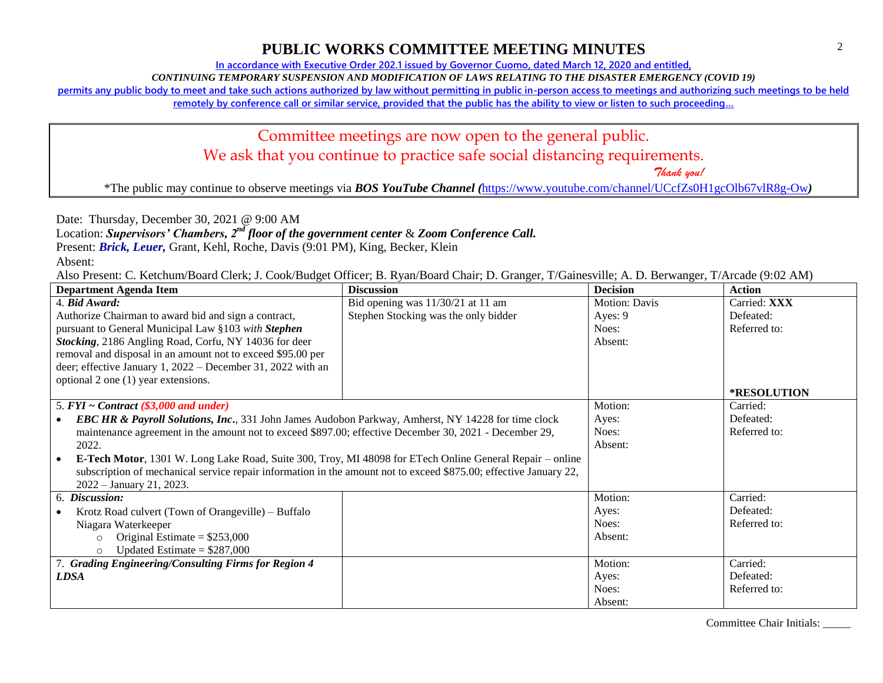**In accordance with Executive Order 202.1 issued by Governor Cuomo, dated March 12, 2020 and entitled,**

*CONTINUING TEMPORARY SUSPENSION AND MODIFICATION OF LAWS RELATING TO THE DISASTER EMERGENCY (COVID 19)*

**permits any public body to meet and take such actions authorized by law without permitting in public in-person access to meetings and authorizing such meetings to be held** 

**remotely by conference call or similar service, provided that the public has the ability to view or listen to such proceeding…**

## Committee meetings are now open to the general public. We ask that you continue to practice safe social distancing requirements.

 *Thank you!*

\*The public may continue to observe meetings via *BOS YouTube Channel (*<https://www.youtube.com/channel/UCcfZs0H1gcOlb67vlR8g-Ow>*)*

Date: Thursday, December 30, 2021 @ 9:00 AM

Location: *Supervisors' Chambers, 2nd floor of the government center* & *Zoom Conference Call.*

Present: *Brick, Leuer,* Grant, Kehl, Roche, Davis (9:01 PM), King, Becker, Klein

Absent:

Also Present: C. Ketchum/Board Clerk; J. Cook/Budget Officer; B. Ryan/Board Chair; D. Granger, T/Gainesville; A. D. Berwanger, T/Arcade (9:02 AM)

| <b>Department Agenda Item</b>                                                                                     | <b>Discussion</b>                    | <b>Decision</b>      | <b>Action</b>      |
|-------------------------------------------------------------------------------------------------------------------|--------------------------------------|----------------------|--------------------|
| 4. Bid Award:                                                                                                     | Bid opening was $11/30/21$ at 11 am  | <b>Motion: Davis</b> | Carried: XXX       |
| Authorize Chairman to award bid and sign a contract,                                                              | Stephen Stocking was the only bidder | Ayes: 9              | Defeated:          |
| pursuant to General Municipal Law §103 with Stephen                                                               |                                      | Noes:                | Referred to:       |
| Stocking, 2186 Angling Road, Corfu, NY 14036 for deer                                                             |                                      | Absent:              |                    |
| removal and disposal in an amount not to exceed \$95.00 per                                                       |                                      |                      |                    |
| deer; effective January 1, 2022 – December 31, 2022 with an                                                       |                                      |                      |                    |
| optional 2 one (1) year extensions.                                                                               |                                      |                      |                    |
|                                                                                                                   |                                      |                      | <b>*RESOLUTION</b> |
| 5. $FYI \sim Contract$ (\$3,000 and under)                                                                        |                                      | Motion:              | Carried:           |
| <b>EBC HR &amp; Payroll Solutions, Inc., 331 John James Audobon Parkway, Amherst, NY 14228 for time clock</b>     |                                      | Ayes:                | Defeated:          |
| maintenance agreement in the amount not to exceed \$897.00; effective December 30, 2021 - December 29,            |                                      | Noes:                | Referred to:       |
| 2022.                                                                                                             |                                      | Absent:              |                    |
| <b>E-Tech Motor</b> , 1301 W. Long Lake Road, Suite 300, Troy, MI 48098 for ETech Online General Repair – online  |                                      |                      |                    |
| subscription of mechanical service repair information in the amount not to exceed \$875.00; effective January 22, |                                      |                      |                    |
| $2022 - January 21, 2023.$                                                                                        |                                      |                      |                    |
| 6. Discussion:                                                                                                    |                                      | Motion:              | Carried:           |
| Krotz Road culvert (Town of Orangeville) – Buffalo                                                                |                                      | Ayes:                | Defeated:          |
| Niagara Waterkeeper                                                                                               |                                      | Noes:                | Referred to:       |
| Original Estimate = $$253,000$<br>$\Omega$                                                                        |                                      | Absent:              |                    |
| Updated Estimate = $$287,000$<br>$\Omega$                                                                         |                                      |                      |                    |
| 7. Grading Engineering/Consulting Firms for Region 4                                                              |                                      | Motion:              | Carried:           |
| LDSA                                                                                                              |                                      | Ayes:                | Defeated:          |
|                                                                                                                   |                                      | Noes:                | Referred to:       |
|                                                                                                                   |                                      | Absent:              |                    |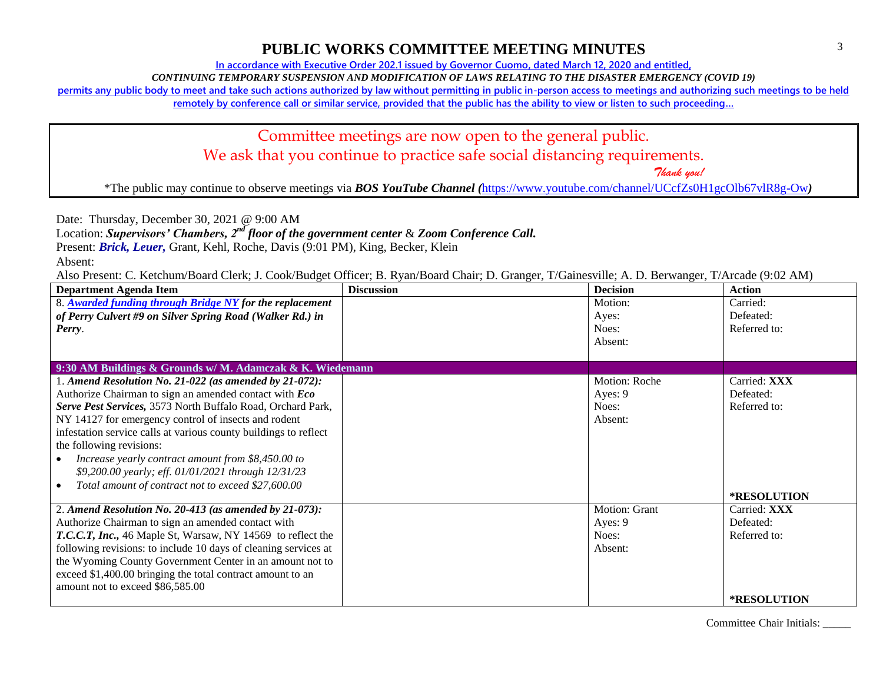**In accordance with Executive Order 202.1 issued by Governor Cuomo, dated March 12, 2020 and entitled,**

*CONTINUING TEMPORARY SUSPENSION AND MODIFICATION OF LAWS RELATING TO THE DISASTER EMERGENCY (COVID 19)*

**permits any public body to meet and take such actions authorized by law without permitting in public in-person access to meetings and authorizing such meetings to be held** 

**remotely by conference call or similar service, provided that the public has the ability to view or listen to such proceeding…**

## Committee meetings are now open to the general public. We ask that you continue to practice safe social distancing requirements.

 *Thank you!*

\*The public may continue to observe meetings via *BOS YouTube Channel (*<https://www.youtube.com/channel/UCcfZs0H1gcOlb67vlR8g-Ow>*)*

Date: Thursday, December 30, 2021 @ 9:00 AM

Location: *Supervisors' Chambers, 2nd floor of the government center* & *Zoom Conference Call.*

Present: *Brick, Leuer,* Grant, Kehl, Roche, Davis (9:01 PM), King, Becker, Klein

Absent:

Also Present: C. Ketchum/Board Clerk; J. Cook/Budget Officer; B. Ryan/Board Chair; D. Granger, T/Gainesville; A. D. Berwanger, T/Arcade (9:02 AM)

| <b>Department Agenda Item</b>                                    | <b>Discussion</b> | <b>Decision</b> | <b>Action</b>      |
|------------------------------------------------------------------|-------------------|-----------------|--------------------|
| 8. Awarded funding through Bridge NY for the replacement         |                   | Motion:         | Carried:           |
| of Perry Culvert #9 on Silver Spring Road (Walker Rd.) in        |                   | Ayes:           | Defeated:          |
| Perry.                                                           |                   | Noes:           | Referred to:       |
|                                                                  |                   | Absent:         |                    |
|                                                                  |                   |                 |                    |
| 9:30 AM Buildings & Grounds w/M. Adamczak & K. Wiedemann         |                   |                 |                    |
| 1. Amend Resolution No. 21-022 (as amended by 21-072):           |                   | Motion: Roche   | Carried: XXX       |
| Authorize Chairman to sign an amended contact with Eco           |                   | Ayes: 9         | Defeated:          |
| Serve Pest Services, 3573 North Buffalo Road, Orchard Park,      |                   | Noes:           | Referred to:       |
| NY 14127 for emergency control of insects and rodent             |                   | Absent:         |                    |
| infestation service calls at various county buildings to reflect |                   |                 |                    |
| the following revisions:                                         |                   |                 |                    |
| Increase yearly contract amount from \$8,450.00 to               |                   |                 |                    |
| \$9,200.00 yearly; eff. 01/01/2021 through 12/31/23              |                   |                 |                    |
| Total amount of contract not to exceed \$27,600.00               |                   |                 |                    |
|                                                                  |                   |                 | *RESOLUTION        |
| 2. Amend Resolution No. 20-413 (as amended by $21-073$ ):        |                   | Motion: Grant   | Carried: XXX       |
| Authorize Chairman to sign an amended contact with               |                   | Ayes: 9         | Defeated:          |
| T.C.C.T, Inc., 46 Maple St, Warsaw, NY 14569 to reflect the      |                   | Noes:           | Referred to:       |
| following revisions: to include 10 days of cleaning services at  |                   | Absent:         |                    |
| the Wyoming County Government Center in an amount not to         |                   |                 |                    |
| exceed \$1,400.00 bringing the total contract amount to an       |                   |                 |                    |
| amount not to exceed \$86,585.00                                 |                   |                 |                    |
|                                                                  |                   |                 | <b>*RESOLUTION</b> |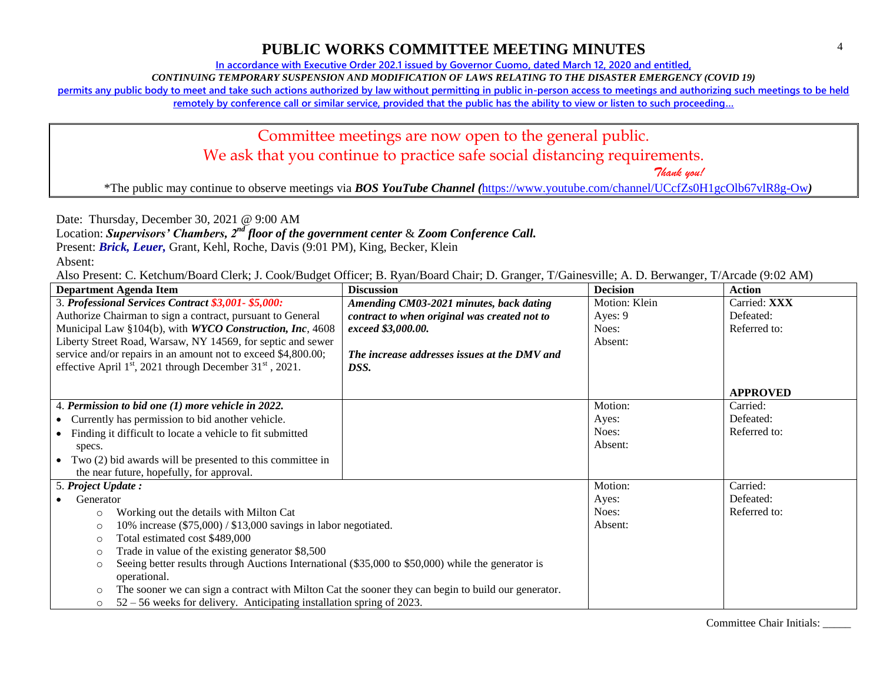**In accordance with Executive Order 202.1 issued by Governor Cuomo, dated March 12, 2020 and entitled,**

*CONTINUING TEMPORARY SUSPENSION AND MODIFICATION OF LAWS RELATING TO THE DISASTER EMERGENCY (COVID 19)*

**permits any public body to meet and take such actions authorized by law without permitting in public in-person access to meetings and authorizing such meetings to be held** 

**remotely by conference call or similar service, provided that the public has the ability to view or listen to such proceeding…**

## Committee meetings are now open to the general public. We ask that you continue to practice safe social distancing requirements.

 *Thank you!*

\*The public may continue to observe meetings via *BOS YouTube Channel (*<https://www.youtube.com/channel/UCcfZs0H1gcOlb67vlR8g-Ow>*)*

Date: Thursday, December 30, 2021 @ 9:00 AM

Location: *Supervisors' Chambers, 2nd floor of the government center* & *Zoom Conference Call.*

Present: *Brick, Leuer,* Grant, Kehl, Roche, Davis (9:01 PM), King, Becker, Klein

Absent:

Also Present: C. Ketchum/Board Clerk; J. Cook/Budget Officer; B. Ryan/Board Chair; D. Granger, T/Gainesville; A. D. Berwanger, T/Arcade (9:02 AM)

| <b>Department Agenda Item</b>                                                                                  | <b>Discussion</b>                            | <b>Decision</b> | <b>Action</b>   |
|----------------------------------------------------------------------------------------------------------------|----------------------------------------------|-----------------|-----------------|
| 3. Professional Services Contract \$3,001-\$5,000:                                                             | Amending CM03-2021 minutes, back dating      | Motion: Klein   | Carried: XXX    |
| Authorize Chairman to sign a contract, pursuant to General                                                     | contract to when original was created not to | Ayes: 9         | Defeated:       |
| Municipal Law §104(b), with WYCO Construction, Inc, 4608                                                       | exceed \$3,000.00.                           | Noes:           | Referred to:    |
| Liberty Street Road, Warsaw, NY 14569, for septic and sewer                                                    |                                              | Absent:         |                 |
| service and/or repairs in an amount not to exceed \$4,800.00;                                                  | The increase addresses issues at the DMV and |                 |                 |
| effective April $1st$ , 2021 through December 31 $st$ , 2021.                                                  | DSS.                                         |                 |                 |
|                                                                                                                |                                              |                 |                 |
|                                                                                                                |                                              |                 | <b>APPROVED</b> |
| 4. Permission to bid one (1) more vehicle in 2022.                                                             |                                              | Motion:         | Carried:        |
| • Currently has permission to bid another vehicle.                                                             |                                              | Ayes:           | Defeated:       |
| Finding it difficult to locate a vehicle to fit submitted                                                      |                                              | Noes:           | Referred to:    |
| specs.                                                                                                         |                                              | Absent:         |                 |
| • Two $(2)$ bid awards will be presented to this committee in                                                  |                                              |                 |                 |
| the near future, hopefully, for approval.                                                                      |                                              |                 |                 |
| 5. Project Update:                                                                                             |                                              | Motion:         | Carried:        |
| Generator                                                                                                      |                                              | Ayes:           | Defeated:       |
| Working out the details with Milton Cat<br>$\circ$                                                             |                                              | Noes:           | Referred to:    |
| 10% increase (\$75,000) / \$13,000 savings in labor negotiated.<br>$\circ$                                     |                                              | Absent:         |                 |
| Total estimated cost \$489,000<br>$\circ$                                                                      |                                              |                 |                 |
| Trade in value of the existing generator \$8,500<br>$\circ$                                                    |                                              |                 |                 |
| Seeing better results through Auctions International (\$35,000 to \$50,000) while the generator is<br>$\circ$  |                                              |                 |                 |
| operational.                                                                                                   |                                              |                 |                 |
| The sooner we can sign a contract with Milton Cat the sooner they can begin to build our generator.<br>$\circ$ |                                              |                 |                 |
| $52 - 56$ weeks for delivery. Anticipating installation spring of 2023.<br>$\circ$                             |                                              |                 |                 |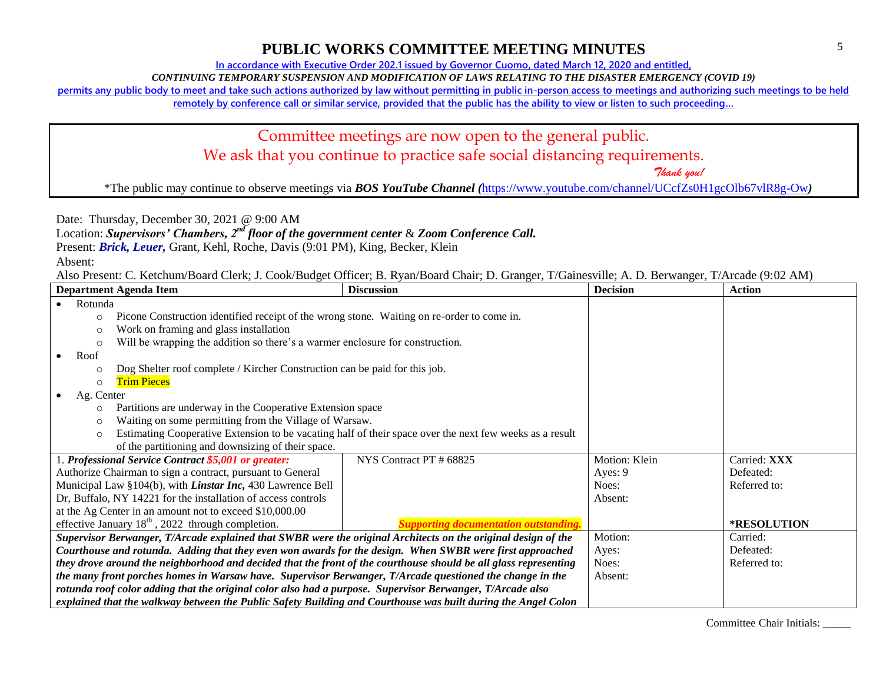**In accordance with Executive Order 202.1 issued by Governor Cuomo, dated March 12, 2020 and entitled,**

*CONTINUING TEMPORARY SUSPENSION AND MODIFICATION OF LAWS RELATING TO THE DISASTER EMERGENCY (COVID 19)*

**permits any public body to meet and take such actions authorized by law without permitting in public in-person access to meetings and authorizing such meetings to be held** 

**remotely by conference call or similar service, provided that the public has the ability to view or listen to such proceeding…**

## Committee meetings are now open to the general public. We ask that you continue to practice safe social distancing requirements.

 *Thank you!*

\*The public may continue to observe meetings via *BOS YouTube Channel (*<https://www.youtube.com/channel/UCcfZs0H1gcOlb67vlR8g-Ow>*)*

Date: Thursday, December 30, 2021 @ 9:00 AM

Location: *Supervisors' Chambers, 2nd floor of the government center* & *Zoom Conference Call.*

Present: *Brick, Leuer,* Grant, Kehl, Roche, Davis (9:01 PM), King, Becker, Klein

Absent:

Also Present: C. Ketchum/Board Clerk; J. Cook/Budget Officer; B. Ryan/Board Chair; D. Granger, T/Gainesville; A. D. Berwanger, T/Arcade (9:02 AM)

| <b>Department Agenda Item</b>                                                                                    | <b>Discussion</b>                                                                                       | <b>Decision</b> | <b>Action</b> |
|------------------------------------------------------------------------------------------------------------------|---------------------------------------------------------------------------------------------------------|-----------------|---------------|
| Rotunda                                                                                                          |                                                                                                         |                 |               |
| Picone Construction identified receipt of the wrong stone. Waiting on re-order to come in.<br>$\circ$            |                                                                                                         |                 |               |
| Work on framing and glass installation<br>$\circ$                                                                |                                                                                                         |                 |               |
| Will be wrapping the addition so there's a warmer enclosure for construction.<br>$\circ$                         |                                                                                                         |                 |               |
| Roof                                                                                                             |                                                                                                         |                 |               |
| Dog Shelter roof complete / Kircher Construction can be paid for this job.<br>$\circ$                            |                                                                                                         |                 |               |
| <b>Trim Pieces</b><br>$\circ$                                                                                    |                                                                                                         |                 |               |
| Ag. Center                                                                                                       |                                                                                                         |                 |               |
| Partitions are underway in the Cooperative Extension space<br>$\circ$                                            |                                                                                                         |                 |               |
| Waiting on some permitting from the Village of Warsaw.<br>$\circ$                                                |                                                                                                         |                 |               |
| $\circ$                                                                                                          | Estimating Cooperative Extension to be vacating half of their space over the next few weeks as a result |                 |               |
| of the partitioning and downsizing of their space.                                                               |                                                                                                         |                 |               |
| . Professional Service Contract \$5,001 or greater:                                                              | NYS Contract PT # 68825                                                                                 | Motion: Klein   | Carried: XXX  |
| Authorize Chairman to sign a contract, pursuant to General                                                       |                                                                                                         | Ayes: 9         | Defeated:     |
| Municipal Law §104(b), with <i>Linstar Inc</i> , 430 Lawrence Bell                                               |                                                                                                         | Noes:           | Referred to:  |
| Dr, Buffalo, NY 14221 for the installation of access controls                                                    |                                                                                                         | Absent:         |               |
| at the Ag Center in an amount not to exceed \$10,000.00                                                          |                                                                                                         |                 |               |
| effective January $18th$ , 2022 through completion.                                                              |                                                                                                         |                 | *RESOLUTION   |
| Supervisor Berwanger, T/Arcade explained that SWBR were the original Architects on the original design of the    |                                                                                                         | Motion:         | Carried:      |
| Courthouse and rotunda. Adding that they even won awards for the design. When SWBR were first approached         |                                                                                                         | Ayes:           | Defeated:     |
| they drove around the neighborhood and decided that the front of the courthouse should be all glass representing |                                                                                                         | Noes:           | Referred to:  |
| the many front porches homes in Warsaw have. Supervisor Berwanger, T/Arcade questioned the change in the         |                                                                                                         | Absent:         |               |
| rotunda roof color adding that the original color also had a purpose. Supervisor Berwanger, T/Arcade also        |                                                                                                         |                 |               |
| explained that the walkway between the Public Safety Building and Courthouse was built during the Angel Colon    |                                                                                                         |                 |               |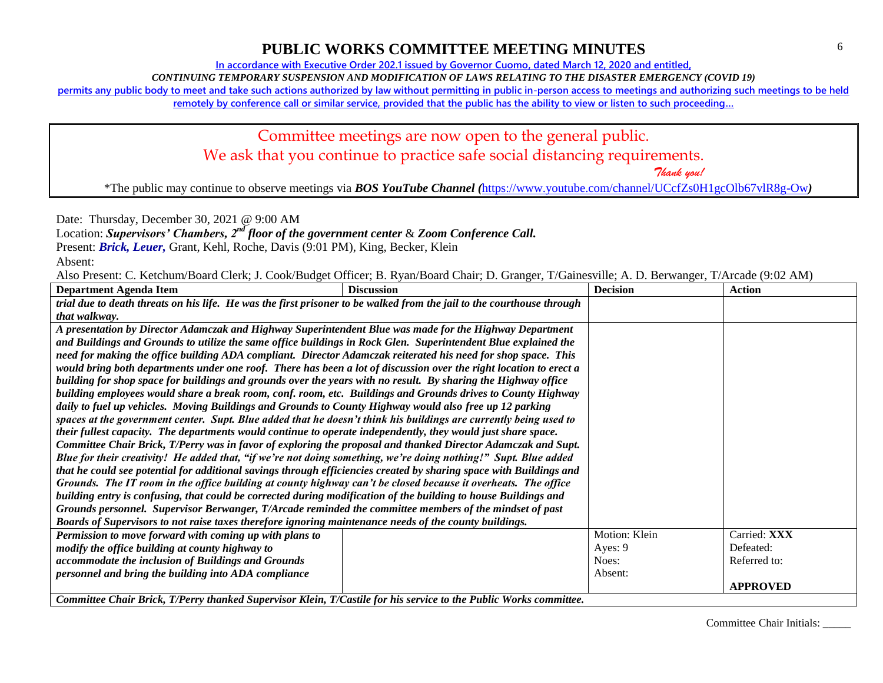**In accordance with Executive Order 202.1 issued by Governor Cuomo, dated March 12, 2020 and entitled,**

*CONTINUING TEMPORARY SUSPENSION AND MODIFICATION OF LAWS RELATING TO THE DISASTER EMERGENCY (COVID 19)*

**permits any public body to meet and take such actions authorized by law without permitting in public in-person access to meetings and authorizing such meetings to be held** 

**remotely by conference call or similar service, provided that the public has the ability to view or listen to such proceeding…**

# Committee meetings are now open to the general public. We ask that you continue to practice safe social distancing requirements.

 *Thank you!*

\*The public may continue to observe meetings via *BOS YouTube Channel (*<https://www.youtube.com/channel/UCcfZs0H1gcOlb67vlR8g-Ow>*)*

Date: Thursday, December 30, 2021 @ 9:00 AM

Location: *Supervisors' Chambers, 2nd floor of the government center* & *Zoom Conference Call.*

Present: *Brick, Leuer,* Grant, Kehl, Roche, Davis (9:01 PM), King, Becker, Klein

Absent:

Also Present: C. Ketchum/Board Clerk; J. Cook/Budget Officer; B. Ryan/Board Chair; D. Granger, T/Gainesville; A. D. Berwanger, T/Arcade (9:02 AM)

| <b>Department Agenda Item</b>                                                                                          | <b>Discussion</b>                     | <b>Decision</b> | <b>Action</b>   |
|------------------------------------------------------------------------------------------------------------------------|---------------------------------------|-----------------|-----------------|
| trial due to death threats on his life. He was the first prisoner to be walked from the jail to the courthouse through |                                       |                 |                 |
| that walkway.                                                                                                          |                                       |                 |                 |
| A presentation by Director Adamczak and Highway Superintendent Blue was made for the Highway Department                |                                       |                 |                 |
| and Buildings and Grounds to utilize the same office buildings in Rock Glen. Superintendent Blue explained the         |                                       |                 |                 |
| need for making the office building ADA compliant. Director Adamczak reiterated his need for shop space. This          |                                       |                 |                 |
| would bring both departments under one roof. There has been a lot of discussion over the right location to erect a     |                                       |                 |                 |
| building for shop space for buildings and grounds over the years with no result. By sharing the Highway office         |                                       |                 |                 |
| building employees would share a break room, conf. room, etc. Buildings and Grounds drives to County Highway           |                                       |                 |                 |
| daily to fuel up vehicles. Moving Buildings and Grounds to County Highway would also free up 12 parking                |                                       |                 |                 |
| spaces at the government center. Supt. Blue added that he doesn't think his buildings are currently being used to      |                                       |                 |                 |
| their fullest capacity. The departments would continue to operate independently, they would just share space.          |                                       |                 |                 |
| Committee Chair Brick, T/Perry was in favor of exploring the proposal and thanked Director Adamczak and Supt.          |                                       |                 |                 |
| Blue for their creativity! He added that, "if we're not doing something, we're doing nothing!" Supt. Blue added        |                                       |                 |                 |
| that he could see potential for additional savings through efficiencies created by sharing space with Buildings and    |                                       |                 |                 |
| Grounds. The IT room in the office building at county highway can't be closed because it overheats. The office         |                                       |                 |                 |
| building entry is confusing, that could be corrected during modification of the building to house Buildings and        |                                       |                 |                 |
| Grounds personnel. Supervisor Berwanger, T/Arcade reminded the committee members of the mindset of past                |                                       |                 |                 |
| Boards of Supervisors to not raise taxes therefore ignoring maintenance needs of the county buildings.                 |                                       |                 |                 |
| Permission to move forward with coming up with plans to                                                                |                                       | Motion: Klein   | Carried: XXX    |
| modify the office building at county highway to                                                                        |                                       | Ayes: 9         | Defeated:       |
| accommodate the inclusion of Buildings and Grounds                                                                     |                                       | Noes:           | Referred to:    |
| personnel and bring the building into ADA compliance                                                                   |                                       | Absent:         |                 |
| $\alpha$ $\alpha$ $\alpha$ $\alpha$ $\alpha$ $\alpha$                                                                  | $\mathbf{r}$ . The state $\mathbf{r}$ |                 | <b>APPROVED</b> |

*Committee Chair Brick, T/Perry thanked Supervisor Klein, T/Castile for his service to the Public Works committee.*